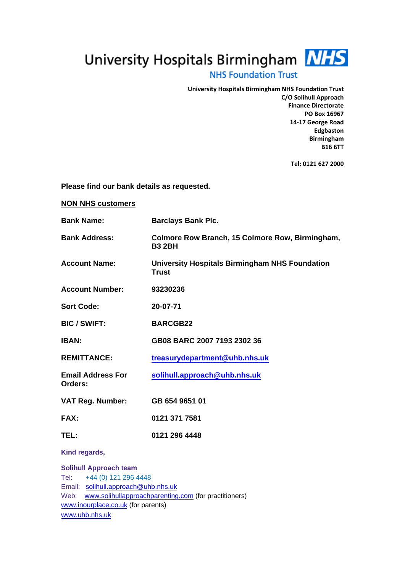University Hospitals Birmingham MHS

## **NHS Foundation Trust**

**University Hospitals Birmingham NHS Foundation Trust C/O Solihull Approach Finance Directorate PO Box 16967 14-17 George Road Edgbaston Birmingham B16 6TT** 

**Tel: 0121 627 2000** 

**Please find our bank details as requested.** 

**NON NHS customers** 

| <b>Bank Name:</b>                                                                                      | <b>Barclays Bank Plc.</b>                                             |  |
|--------------------------------------------------------------------------------------------------------|-----------------------------------------------------------------------|--|
| <b>Bank Address:</b>                                                                                   | Colmore Row Branch, 15 Colmore Row, Birmingham,<br><b>B3 2BH</b>      |  |
| <b>Account Name:</b>                                                                                   | <b>University Hospitals Birmingham NHS Foundation</b><br><b>Trust</b> |  |
| <b>Account Number:</b>                                                                                 | 93230236                                                              |  |
| <b>Sort Code:</b>                                                                                      | 20-07-71                                                              |  |
| <b>BIC / SWIFT:</b>                                                                                    | <b>BARCGB22</b>                                                       |  |
| <b>IBAN:</b>                                                                                           | GB08 BARC 2007 7193 2302 36                                           |  |
| <b>REMITTANCE:</b>                                                                                     | treasurydepartment@uhb.nhs.uk                                         |  |
| <b>Email Address For</b><br>Orders:                                                                    | solihull.approach@uhb.nhs.uk                                          |  |
| <b>VAT Reg. Number:</b>                                                                                | GB 654 9651 01                                                        |  |
| FAX:                                                                                                   | 0121 371 7581                                                         |  |
| TEL:                                                                                                   | 0121 296 4448                                                         |  |
| Kind regards,                                                                                          |                                                                       |  |
| <b>Solihull Approach team</b><br>$T \triangle \cdot$ $\rightarrow$ $\Delta A$ (0) 121 296 $\Delta AAB$ |                                                                       |  |

Tel: +44 (0) 121 296 4448 Email: [solihull.approach@](mailto:solihull.approach@heartofengland.nhs.uk)uhb.nhs.uk Web: [www.solihullapproachparenting.com](http://www.solihullapproachparenting.com/) (for practitioners) [www.inourplace.co.uk](http://www.inourplace.co.uk/) (for parents) www.uhb.nhs.uk